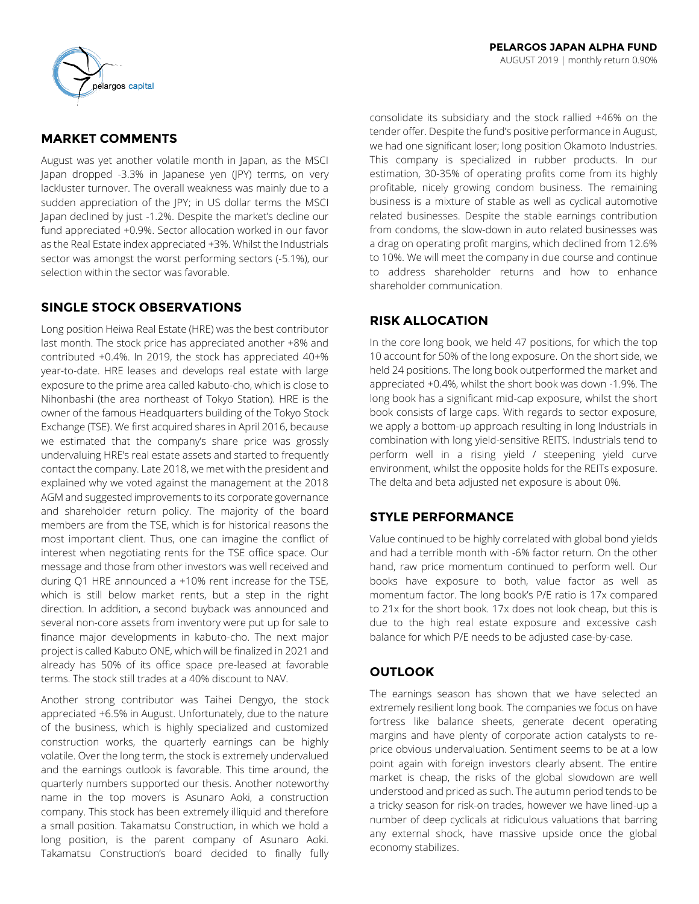

## **MARKET COMMENTS**

August was yet another volatile month in Japan, as the MSCI Japan dropped -3.3% in Japanese yen (JPY) terms, on very lackluster turnover. The overall weakness was mainly due to a sudden appreciation of the JPY; in US dollar terms the MSCI Japan declined by just -1.2%. Despite the market's decline our fund appreciated +0.9%. Sector allocation worked in our favor as the Real Estate index appreciated +3%. Whilst the Industrials sector was amongst the worst performing sectors (-5.1%), our selection within the sector was favorable.

## **SINGLE STOCK OBSERVATIONS**

Long position Heiwa Real Estate (HRE) was the best contributor last month. The stock price has appreciated another +8% and contributed +0.4%. In 2019, the stock has appreciated 40+% year-to-date. HRE leases and develops real estate with large exposure to the prime area called kabuto-cho, which is close to Nihonbashi (the area northeast of Tokyo Station). HRE is the owner of the famous Headquarters building of the Tokyo Stock Exchange (TSE). We first acquired shares in April 2016, because we estimated that the company's share price was grossly undervaluing HRE's real estate assets and started to frequently contact the company. Late 2018, we met with the president and explained why we voted against the management at the 2018 AGM and suggested improvements to its corporate governance and shareholder return policy. The majority of the board members are from the TSE, which is for historical reasons the most important client. Thus, one can imagine the conflict of interest when negotiating rents for the TSE office space. Our message and those from other investors was well received and during Q1 HRE announced a +10% rent increase for the TSE, which is still below market rents, but a step in the right direction. In addition, a second buyback was announced and several non-core assets from inventory were put up for sale to finance major developments in kabuto-cho. The next major project is called Kabuto ONE, which will be finalized in 2021 and already has 50% of its office space pre-leased at favorable terms. The stock still trades at a 40% discount to NAV.

Another strong contributor was Taihei Dengyo, the stock appreciated +6.5% in August. Unfortunately, due to the nature of the business, which is highly specialized and customized construction works, the quarterly earnings can be highly volatile. Over the long term, the stock is extremely undervalued and the earnings outlook is favorable. This time around, the quarterly numbers supported our thesis. Another noteworthy name in the top movers is Asunaro Aoki, a construction company. This stock has been extremely illiquid and therefore a small position. Takamatsu Construction, in which we hold a long position, is the parent company of Asunaro Aoki. Takamatsu Construction's board decided to finally fully

consolidate its subsidiary and the stock rallied +46% on the tender offer. Despite the fund's positive performance in August, we had one significant loser; long position Okamoto Industries. This company is specialized in rubber products. In our estimation, 30-35% of operating profits come from its highly profitable, nicely growing condom business. The remaining business is a mixture of stable as well as cyclical automotive related businesses. Despite the stable earnings contribution from condoms, the slow-down in auto related businesses was a drag on operating profit margins, which declined from 12.6% to 10%. We will meet the company in due course and continue to address shareholder returns and how to enhance shareholder communication.

# **RISK ALLOCATION**

In the core long book, we held 47 positions, for which the top 10 account for 50% of the long exposure. On the short side, we held 24 positions. The long book outperformed the market and appreciated +0.4%, whilst the short book was down -1.9%. The long book has a significant mid-cap exposure, whilst the short book consists of large caps. With regards to sector exposure, we apply a bottom-up approach resulting in long Industrials in combination with long yield-sensitive REITS. Industrials tend to perform well in a rising yield / steepening yield curve environment, whilst the opposite holds for the REITs exposure. The delta and beta adjusted net exposure is about 0%.

# **STYLE PERFORMANCE**

Value continued to be highly correlated with global bond yields and had a terrible month with -6% factor return. On the other hand, raw price momentum continued to perform well. Our books have exposure to both, value factor as well as momentum factor. The long book's P/E ratio is 17x compared to 21x for the short book. 17x does not look cheap, but this is due to the high real estate exposure and excessive cash balance for which P/E needs to be adjusted case-by-case.

# **OUTLOOK**

The earnings season has shown that we have selected an extremely resilient long book. The companies we focus on have fortress like balance sheets, generate decent operating margins and have plenty of corporate action catalysts to reprice obvious undervaluation. Sentiment seems to be at a low point again with foreign investors clearly absent. The entire market is cheap, the risks of the global slowdown are well understood and priced as such. The autumn period tends to be a tricky season for risk-on trades, however we have lined-up a number of deep cyclicals at ridiculous valuations that barring any external shock, have massive upside once the global economy stabilizes.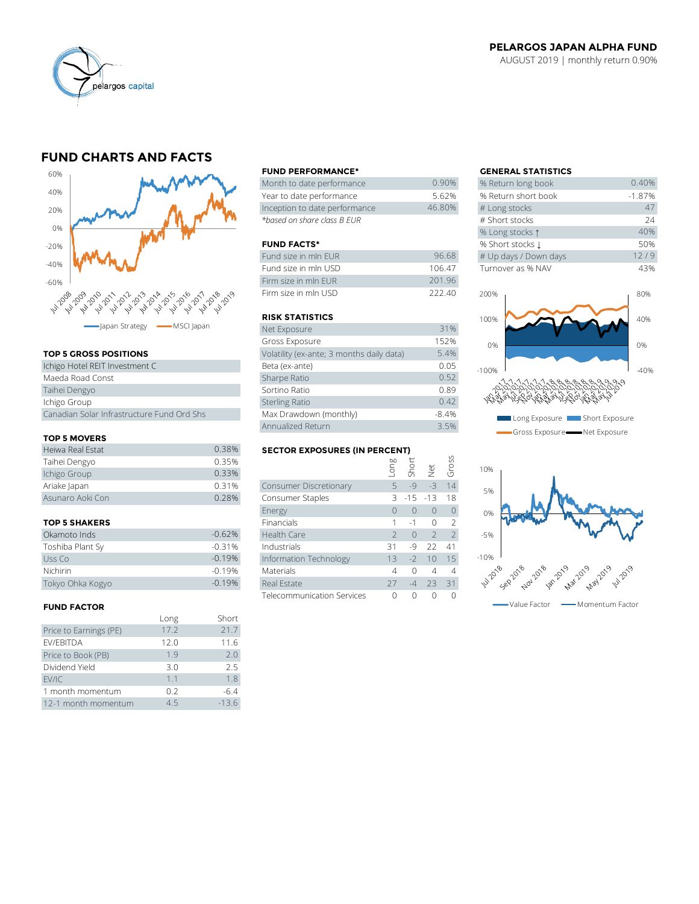

#### **PELARGOS JAPAN ALPHA FUND** AUGUST 2019 | monthly return 0.90%

## **FUND CHARTS AND FACTS**



#### **TOP 5 GROSS POSITIONS**

| Ichigo Hotel REIT Investment C             | Beta (ex-ante)         |
|--------------------------------------------|------------------------|
| Maeda Road Const                           | Sharpe Ratio           |
| Taihei Dengyo                              | Sortino Ratio          |
| Ichigo Group                               | <b>Sterling Ratio</b>  |
| Canadian Solar Infrastructure Fund Ord Shs | Max Drawdown (monthly) |

#### **TOP 5 MOVERS**

| Canadian Solar Infrastructure Fund Ord Shs |       | Max Drawdown (monthly)               |      |      |                         | $-8.4%$ |
|--------------------------------------------|-------|--------------------------------------|------|------|-------------------------|---------|
|                                            |       | Annualized Return                    |      |      | 3.5%                    |         |
| <b>TOP 5 MOVERS</b>                        |       |                                      |      |      |                         |         |
| Heiwa Real Estat                           | 0.38% | <b>SECTOR EXPOSURES (IN PERCENT)</b> |      |      |                         |         |
| Taihei Dengyo                              | 0.35% |                                      | Buo- |      | short<br>Short<br>Gross |         |
| Ichigo Group                               | 0.33% |                                      |      |      |                         |         |
| Ariake Japan                               | 0.31% | Consumer Discretionary               | 5.   | $-9$ |                         | 14      |
| Asunaro Aoki Con                           | 0.28% | Consumer Staples                     |      |      | $3 - 15 - 13$           | 18      |
|                                            |       |                                      |      |      |                         |         |

#### **TOP 5 SHAKERS**

| Okamoto Inds     | $-0.62%$ |
|------------------|----------|
| Toshiba Plant Sy | $-0.31%$ |
| Uss Co           | $-0.19%$ |
| Nichirin         | $-0.19%$ |
| Tokyo Ohka Kogyo | $-0.19%$ |

#### **FUND FACTOR**

|                        | Long | Short   |
|------------------------|------|---------|
| Price to Earnings (PE) | 17.2 | 21.7    |
| EV/EBITDA              | 12.0 | 11.6    |
| Price to Book (PB)     | 1.9  | 2.0     |
| Dividend Yield         | 3.0  | 2.5     |
| EV/IC                  | 1.1  | 1.8     |
| 1 month momentum       | 0.2  | $-6.4$  |
| 12-1 month momentum    | 45   | $-13.6$ |

#### **FUND PERFORMANCE\* GENERAL STATISTICS**

| Month to date performance     | 0.90%  | % Return long book  |
|-------------------------------|--------|---------------------|
| Year to date performance      | 5.62%  | % Return short book |
| Inception to date performance | 46.80% | # Long stocks       |
| *based on share class B EUR   |        | # Short stocks      |

#### **FUND FACTS\***

| Fund size in mln EUR | 96.68  | # Up days / Down days |
|----------------------|--------|-----------------------|
| Fund size in mln USD | 106.47 | Turnover as % NAV     |
| Firm size in mln FUR | 201.96 |                       |
| Firm size in mln USD | 222.40 | 200%                  |

#### **RISK STATISTICS**

| Net Exposure                              | 31%     |
|-------------------------------------------|---------|
| Gross Exposure                            | 152%    |
| Volatility (ex-ante; 3 months daily data) | 5.4%    |
| Beta (ex-ante)                            | 0.05    |
| Sharpe Ratio                              | 0.52    |
| Sortino Ratio                             | 0.89    |
| <b>Sterling Ratio</b>                     | 0.42    |
| Max Drawdown (monthly)                    | $-8.4%$ |
| Annualized Return                         | 3.5%    |

### **SECTOR EXPOSURES (IN PERCENT)**

|                      |          | Annualized Return                    |               |           |                | 3.5%            |
|----------------------|----------|--------------------------------------|---------------|-----------|----------------|-----------------|
| <b>TOP 5 MOVERS</b>  |          |                                      |               |           |                |                 |
| Heiwa Real Estat     | 0.38%    | <b>SECTOR EXPOSURES (IN PERCENT)</b> |               |           |                |                 |
| Taihei Dengyo        | 0.35%    |                                      | auo-          |           |                | Gross           |
| Ichigo Group         | 0.33%    |                                      |               | Short     | $\frac{1}{2}$  |                 |
| Ariake Japan         | 0.31%    | Consumer Discretionary               | $5 -$         | $-9$      | $-3$           | 14              |
| Asunaro Aoki Con     | 0.28%    | Consumer Staples                     | 3             | $-15$     | $-13$          | 18              |
|                      |          | Energy                               | $\bigcap$     | $\Omega$  | $\Omega$       | $\bigcap$       |
| <b>TOP 5 SHAKERS</b> |          | Financials                           |               | $-1$      | $\Omega$       | $\mathcal{P}$   |
| Okamoto Inds         | $-0.62%$ | Health Care                          | $\mathcal{P}$ | $\bigcap$ | $\overline{z}$ | 2               |
| Toshiba Plant Sv     | $-0.31%$ | Industrials                          | 31            | $-9$      | 22             | 41              |
| Uss Co               | $-0.19%$ | Information Technology               | 13            | $-2$      | 10             | 15 <sub>1</sub> |
| Nichirin             | $-0.19%$ | <b>Materials</b>                     | 4             | $\Omega$  | 4              | $\overline{4}$  |
| Tokyo Ohka Kogyo     | $-0.19%$ | Real Estate                          | 27            | $-4$      | 23             | 31              |
|                      |          | <b>Telecommunication Services</b>    |               | $\Omega$  | O              | O               |
|                      |          |                                      |               |           |                |                 |

| <b>GENERAL STATISTICS</b> |          |
|---------------------------|----------|
| % Return long book        | 0.40%    |
| % Return short book       | $-1.87%$ |
| # Long stocks             | 47       |
| # Short stocks            | 24       |
| % Long stocks 1           | 40%      |
| % Short stocks 1          | 50%      |
| # Up days / Down days     | 12/9     |
| Turnover as % NAV         | 43%      |